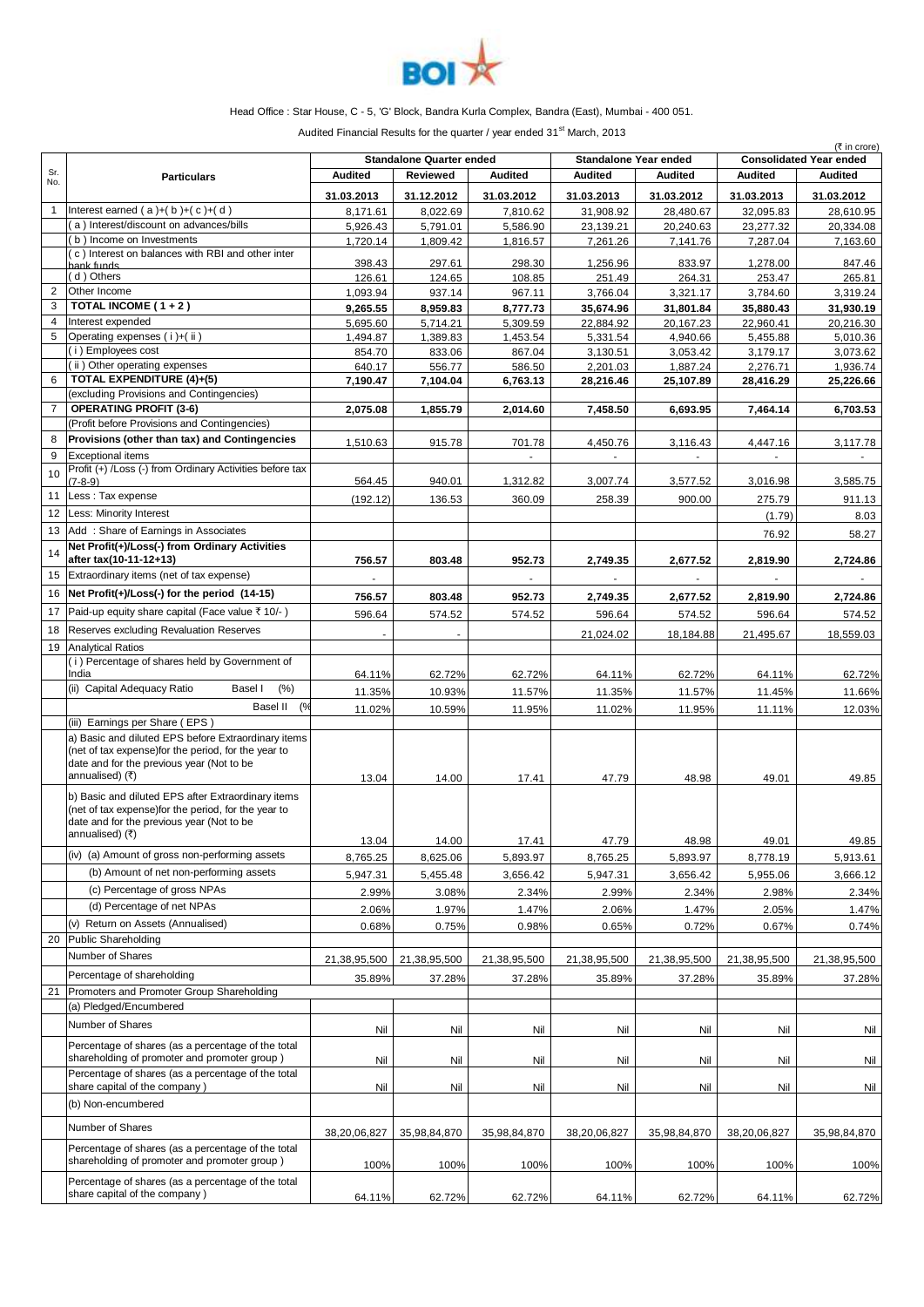

## Head Office : Star House, C - 5, 'G' Block, Bandra Kurla Complex, Bandra (East), Mumbai - 400 051.

Audited Financial Results for the quarter / year ended  $31<sup>st</sup>$  March, 2013

|                |                                                                                                                                                                                                                                   | <b>Standalone Quarter ended</b><br><b>Standalone Year ended</b> |                      |                      |                       | $(5$ in crore)<br><b>Consolidated Year ended</b> |                       |                       |
|----------------|-----------------------------------------------------------------------------------------------------------------------------------------------------------------------------------------------------------------------------------|-----------------------------------------------------------------|----------------------|----------------------|-----------------------|--------------------------------------------------|-----------------------|-----------------------|
| Sr.<br>No.     | <b>Particulars</b>                                                                                                                                                                                                                | <b>Audited</b>                                                  | <b>Reviewed</b>      | <b>Audited</b>       | <b>Audited</b>        | <b>Audited</b>                                   | <b>Audited</b>        | <b>Audited</b>        |
| $\mathbf{1}$   |                                                                                                                                                                                                                                   | 31.03.2013                                                      | 31.12.2012           | 31.03.2012           | 31.03.2013            | 31.03.2012                                       | 31.03.2013            | 31.03.2012            |
|                | Interest earned $(a)+(b)+(c)+(d)$<br>a) Interest/discount on advances/bills                                                                                                                                                       | 8,171.61                                                        | 8,022.69             | 7,810.62             | 31,908.92             | 28,480.67                                        | 32,095.83             | 28,610.95             |
|                | b) Income on Investments                                                                                                                                                                                                          | 5,926.43<br>1,720.14                                            | 5,791.01<br>1,809.42 | 5,586.90<br>1,816.57 | 23,139.21<br>7,261.26 | 20,240.63<br>7,141.76                            | 23,277.32<br>7,287.04 | 20,334.08<br>7,163.60 |
|                | (c) Interest on balances with RBI and other inter                                                                                                                                                                                 |                                                                 |                      |                      |                       |                                                  |                       |                       |
|                | hank funds<br>(d) Others                                                                                                                                                                                                          | 398.43<br>126.61                                                | 297.61<br>124.65     | 298.30<br>108.85     | 1,256.96<br>251.49    | 833.97<br>264.31                                 | 1,278.00<br>253.47    | 847.46<br>265.81      |
| $\overline{2}$ | Other Income                                                                                                                                                                                                                      | 1,093.94                                                        | 937.14               | 967.11               | 3,766.04              | 3,321.17                                         | 3,784.60              | 3,319.24              |
| 3              | TOTAL INCOME $(1 + 2)$                                                                                                                                                                                                            | 9,265.55                                                        | 8,959.83             | 8,777.73             | 35,674.96             | 31,801.84                                        | 35,880.43             | 31,930.19             |
| 4              | Interest expended                                                                                                                                                                                                                 | 5,695.60                                                        | 5,714.21             | 5,309.59             | 22,884.92             | 20,167.23                                        | 22,960.41             | 20,216.30             |
| 5              | Operating expenses (i)+(ii)                                                                                                                                                                                                       | 1,494.87                                                        | 1,389.83             | 1,453.54             | 5,331.54              | 4,940.66                                         | 5,455.88              | 5,010.36              |
|                | (i) Employees cost                                                                                                                                                                                                                | 854.70                                                          | 833.06               | 867.04               | 3,130.51              | 3,053.42                                         | 3,179.17              | 3,073.62              |
|                | (ii) Other operating expenses                                                                                                                                                                                                     | 640.17                                                          | 556.77               | 586.50               | 2,201.03              | 1,887.24                                         | 2,276.71              | 1,936.74              |
| 6              | TOTAL EXPENDITURE (4)+(5)                                                                                                                                                                                                         | 7,190.47                                                        | 7,104.04             | 6,763.13             | 28,216.46             | 25,107.89                                        | 28,416.29             | 25,226.66             |
|                | (excluding Provisions and Contingencies)                                                                                                                                                                                          |                                                                 |                      |                      |                       |                                                  |                       |                       |
| $\overline{7}$ | <b>OPERATING PROFIT (3-6)</b>                                                                                                                                                                                                     | 2,075.08                                                        | 1,855.79             | 2,014.60             | 7,458.50              | 6,693.95                                         | 7,464.14              | 6,703.53              |
|                | (Profit before Provisions and Contingencies)                                                                                                                                                                                      |                                                                 |                      |                      |                       |                                                  |                       |                       |
| 8              | Provisions (other than tax) and Contingencies                                                                                                                                                                                     | 1,510.63                                                        | 915.78               | 701.78               | 4,450.76              | 3,116.43                                         | 4,447.16              | 3,117.78              |
| 9              | <b>Exceptional items</b><br>Profit (+) /Loss (-) from Ordinary Activities before tax                                                                                                                                              |                                                                 |                      |                      |                       | $\blacksquare$                                   |                       |                       |
| 10             | $(7-8-9)$                                                                                                                                                                                                                         | 564.45                                                          | 940.01               | 1,312.82             | 3,007.74              | 3,577.52                                         | 3,016.98              | 3,585.75              |
| 11             | Less: Tax expense                                                                                                                                                                                                                 | (192.12)                                                        | 136.53               | 360.09               | 258.39                | 900.00                                           | 275.79                | 911.13                |
| 12             | Less: Minority Interest                                                                                                                                                                                                           |                                                                 |                      |                      |                       |                                                  | (1.79)                | 8.03                  |
| 13             | Add: Share of Earnings in Associates                                                                                                                                                                                              |                                                                 |                      |                      |                       |                                                  | 76.92                 | 58.27                 |
|                | Net Profit(+)/Loss(-) from Ordinary Activities                                                                                                                                                                                    |                                                                 |                      |                      |                       |                                                  |                       |                       |
| 14             | after tax(10-11-12+13)                                                                                                                                                                                                            | 756.57                                                          | 803.48               | 952.73               | 2,749.35              | 2,677.52                                         | 2,819.90              | 2,724.86              |
| 15             | Extraordinary items (net of tax expense)                                                                                                                                                                                          |                                                                 |                      |                      |                       |                                                  |                       |                       |
| 16             | Net Profit(+)/Loss(-) for the period (14-15)                                                                                                                                                                                      | 756.57                                                          | 803.48               | 952.73               | 2,749.35              | 2,677.52                                         | 2,819.90              | 2,724.86              |
| 17             | Paid-up equity share capital (Face value ₹ 10/-)                                                                                                                                                                                  | 596.64                                                          | 574.52               | 574.52               | 596.64                | 574.52                                           | 596.64                | 574.52                |
| 18             | Reserves excluding Revaluation Reserves                                                                                                                                                                                           |                                                                 |                      |                      |                       |                                                  |                       |                       |
| 19             | <b>Analytical Ratios</b>                                                                                                                                                                                                          | ٠                                                               |                      |                      | 21,024.02             | 18,184.88                                        | 21,495.67             | 18,559.03             |
|                | (i) Percentage of shares held by Government of                                                                                                                                                                                    |                                                                 |                      |                      |                       |                                                  |                       |                       |
|                | India                                                                                                                                                                                                                             | 64.11%                                                          | 62.72%               | 62.72%               | 64.11%                | 62.72%                                           | 64.11%                | 62.72%                |
|                | (ii) Capital Adequacy Ratio<br>(% )<br>Basel I                                                                                                                                                                                    | 11.35%                                                          | 10.93%               | 11.57%               | 11.35%                | 11.57%                                           | 11.45%                | 11.66%                |
|                | Basel II<br>(%                                                                                                                                                                                                                    | 11.02%                                                          | 10.59%               | 11.95%               | 11.02%                | 11.95%                                           | 11.11%                | 12.03%                |
|                | (iii) Earnings per Share (EPS)                                                                                                                                                                                                    |                                                                 |                      |                      |                       |                                                  |                       |                       |
|                | a) Basic and diluted EPS before Extraordinary items<br>(net of tax expense) for the period, for the year to<br>date and for the previous year (Not to be<br>annualised) (₹)<br>b) Basic and diluted EPS after Extraordinary items | 13.04                                                           | 14.00                | 17.41                | 47.79                 | 48.98                                            | 49.01                 | 49.85                 |
|                | (net of tax expense) for the period, for the year to                                                                                                                                                                              |                                                                 |                      |                      |                       |                                                  |                       |                       |
|                | date and for the previous year (Not to be<br>annualised) (र)                                                                                                                                                                      |                                                                 |                      |                      |                       |                                                  |                       |                       |
|                |                                                                                                                                                                                                                                   | 13.04                                                           | 14.00                | 17.41                | 47.79                 | 48.98                                            | 49.01                 | 49.85                 |
|                | (iv) (a) Amount of gross non-performing assets                                                                                                                                                                                    | 8,765.25                                                        | 8,625.06             | 5,893.97             | 8,765.25              | 5,893.97                                         | 8,778.19              | 5,913.61              |
|                | (b) Amount of net non-performing assets                                                                                                                                                                                           | 5,947.31                                                        | 5,455.48             | 3,656.42             | 5,947.31              | 3,656.42                                         | 5,955.06              | 3,666.12              |
|                | (c) Percentage of gross NPAs                                                                                                                                                                                                      | 2.99%                                                           | 3.08%                | 2.34%                | 2.99%                 | 2.34%                                            | 2.98%                 | 2.34%                 |
|                | (d) Percentage of net NPAs                                                                                                                                                                                                        | 2.06%                                                           | 1.97%                | 1.47%                | 2.06%                 | 1.47%                                            | 2.05%                 | 1.47%                 |
|                | (v) Return on Assets (Annualised)                                                                                                                                                                                                 | 0.68%                                                           | 0.75%                | 0.98%                | 0.65%                 | 0.72%                                            | 0.67%                 | 0.74%                 |
| 20             | Public Shareholding                                                                                                                                                                                                               |                                                                 |                      |                      |                       |                                                  |                       |                       |
|                | Number of Shares                                                                                                                                                                                                                  | 21,38,95,500                                                    | 21,38,95,500         | 21,38,95,500         | 21,38,95,500          | 21,38,95,500                                     | 21,38,95,500          | 21,38,95,500          |
|                | Percentage of shareholding                                                                                                                                                                                                        | 35.89%                                                          | 37.28%               | 37.28%               | 35.89%                | 37.28%                                           | 35.89%                | 37.28%                |
| 21             | Promoters and Promoter Group Shareholding                                                                                                                                                                                         |                                                                 |                      |                      |                       |                                                  |                       |                       |
|                | (a) Pledged/Encumbered                                                                                                                                                                                                            |                                                                 |                      |                      |                       |                                                  |                       |                       |
|                | Number of Shares                                                                                                                                                                                                                  | Nil                                                             | Nil                  | Nil                  | Nil                   | Nil                                              | Nil                   | Nil                   |
|                | Percentage of shares (as a percentage of the total                                                                                                                                                                                |                                                                 |                      |                      |                       |                                                  |                       |                       |
|                | shareholding of promoter and promoter group)                                                                                                                                                                                      | Nil                                                             | Nil                  | Nil                  | Nil                   | Nil                                              | Nil                   | Nil                   |
|                | Percentage of shares (as a percentage of the total<br>share capital of the company)                                                                                                                                               | Nil                                                             | Nil                  | Nil                  | Nil                   | Nil                                              | Nil                   | Nil                   |
|                | (b) Non-encumbered                                                                                                                                                                                                                |                                                                 |                      |                      |                       |                                                  |                       |                       |
|                |                                                                                                                                                                                                                                   |                                                                 |                      |                      |                       |                                                  |                       |                       |
|                | Number of Shares                                                                                                                                                                                                                  | 38,20,06,827                                                    | 35,98,84,870         | 35,98,84,870         | 38,20,06,827          | 35,98,84,870                                     | 38,20,06,827          | 35,98,84,870          |
|                | Percentage of shares (as a percentage of the total<br>shareholding of promoter and promoter group)                                                                                                                                | 100%                                                            | 100%                 | 100%                 | 100%                  | 100%                                             | 100%                  | 100%                  |
|                | Percentage of shares (as a percentage of the total                                                                                                                                                                                |                                                                 |                      |                      |                       |                                                  |                       |                       |
|                | share capital of the company)                                                                                                                                                                                                     | 64.11%                                                          | 62.72%               | 62.72%               | 64.11%                | 62.72%                                           | 64.11%                | 62.72%                |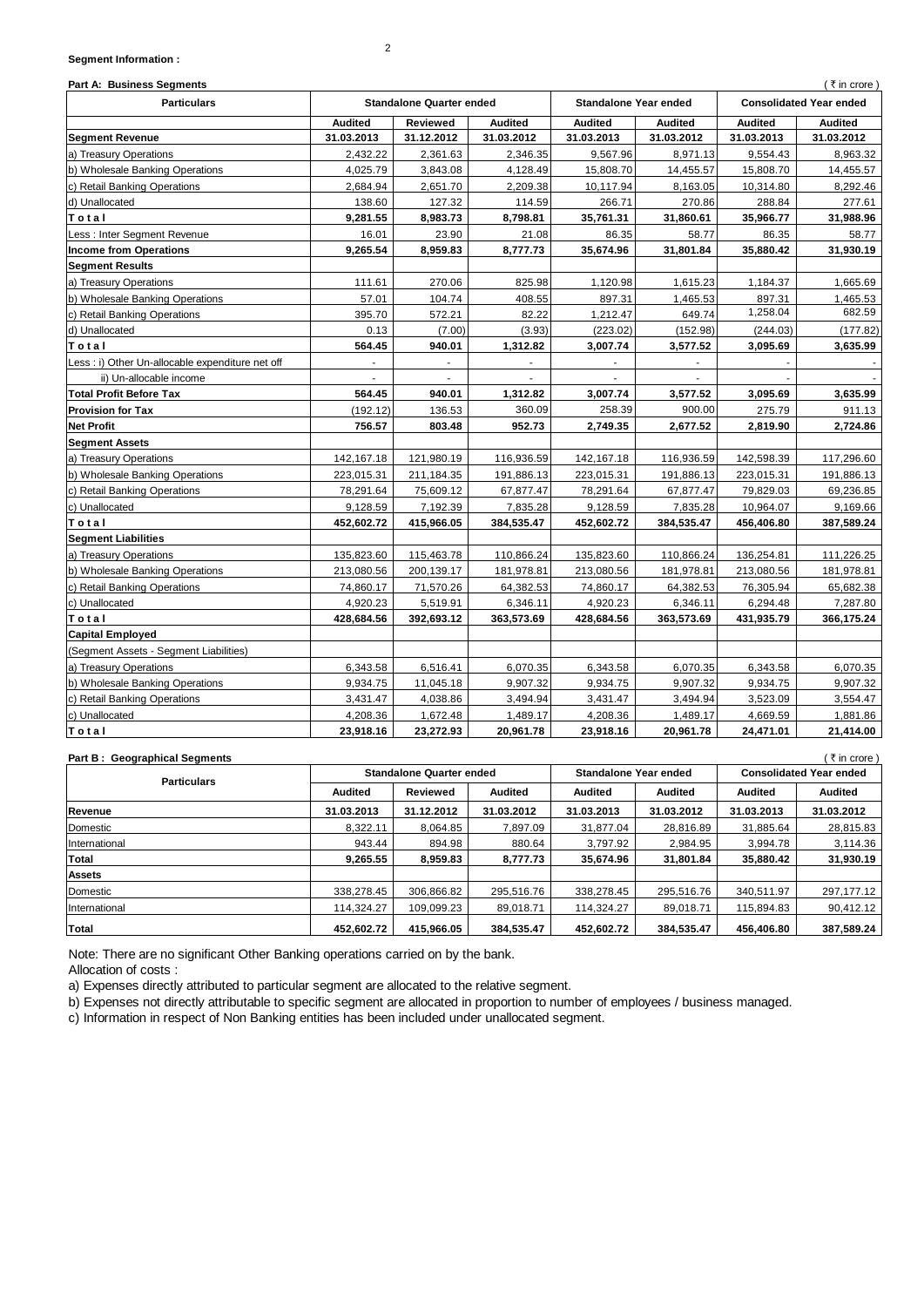### **Segment Information :**

| Part A: Business Segments<br>(₹in crore)         |                                                                 |            |                |                                |                |                |                |
|--------------------------------------------------|-----------------------------------------------------------------|------------|----------------|--------------------------------|----------------|----------------|----------------|
| <b>Particulars</b>                               | <b>Standalone Quarter ended</b><br><b>Standalone Year ended</b> |            |                | <b>Consolidated Year ended</b> |                |                |                |
|                                                  | <b>Audited</b>                                                  | Reviewed   | <b>Audited</b> | <b>Audited</b>                 | <b>Audited</b> | <b>Audited</b> | <b>Audited</b> |
| <b>Segment Revenue</b>                           | 31.03.2013                                                      | 31.12.2012 | 31.03.2012     | 31.03.2013                     | 31.03.2012     | 31.03.2013     | 31.03.2012     |
| a) Treasury Operations                           | 2,432.22                                                        | 2,361.63   | 2,346.35       | 9,567.96                       | 8,971.13       | 9,554.43       | 8,963.32       |
| b) Wholesale Banking Operations                  | 4,025.79                                                        | 3,843.08   | 4,128.49       | 15,808.70                      | 14,455.57      | 15,808.70      | 14,455.57      |
| c) Retail Banking Operations                     | 2,684.94                                                        | 2,651.70   | 2,209.38       | 10,117.94                      | 8,163.05       | 10,314.80      | 8,292.46       |
| d) Unallocated                                   | 138.60                                                          | 127.32     | 114.59         | 266.71                         | 270.86         | 288.84         | 277.61         |
| Total                                            | 9,281.55                                                        | 8,983.73   | 8,798.81       | 35,761.31                      | 31,860.61      | 35,966.77      | 31,988.96      |
| Less: Inter Segment Revenue                      | 16.01                                                           | 23.90      | 21.08          | 86.35                          | 58.77          | 86.35          | 58.77          |
| <b>Income from Operations</b>                    | 9,265.54                                                        | 8,959.83   | 8,777.73       | 35,674.96                      | 31,801.84      | 35,880.42      | 31,930.19      |
| <b>Segment Results</b>                           |                                                                 |            |                |                                |                |                |                |
| a) Treasury Operations                           | 111.61                                                          | 270.06     | 825.98         | 1,120.98                       | 1,615.23       | 1,184.37       | 1,665.69       |
| b) Wholesale Banking Operations                  | 57.01                                                           | 104.74     | 408.55         | 897.31                         | 1,465.53       | 897.31         | 1,465.53       |
| c) Retail Banking Operations                     | 395.70                                                          | 572.21     | 82.22          | 1,212.47                       | 649.74         | 1,258.04       | 682.59         |
| d) Unallocated                                   | 0.13                                                            | (7.00)     | (3.93)         | (223.02)                       | (152.98)       | (244.03)       | (177.82)       |
| Total                                            | 564.45                                                          | 940.01     | 1,312.82       | 3,007.74                       | 3,577.52       | 3,095.69       | 3,635.99       |
| Less : i) Other Un-allocable expenditure net off |                                                                 |            |                |                                |                |                |                |
| ii) Un-allocable income                          |                                                                 |            |                |                                |                |                |                |
| <b>Total Profit Before Tax</b>                   | 564.45                                                          | 940.01     | 1,312.82       | 3,007.74                       | 3,577.52       | 3,095.69       | 3,635.99       |
| <b>Provision for Tax</b>                         | (192.12)                                                        | 136.53     | 360.09         | 258.39                         | 900.00         | 275.79         | 911.13         |
| <b>Net Profit</b>                                | 756.57                                                          | 803.48     | 952.73         | 2,749.35                       | 2,677.52       | 2,819.90       | 2,724.86       |
| <b>Segment Assets</b>                            |                                                                 |            |                |                                |                |                |                |
| a) Treasury Operations                           | 142,167.18                                                      | 121,980.19 | 116,936.59     | 142,167.18                     | 116,936.59     | 142,598.39     | 117,296.60     |
| b) Wholesale Banking Operations                  | 223,015.31                                                      | 211,184.35 | 191,886.13     | 223,015.31                     | 191,886.13     | 223,015.31     | 191,886.13     |
| c) Retail Banking Operations                     | 78,291.64                                                       | 75,609.12  | 67,877.47      | 78,291.64                      | 67,877.47      | 79,829.03      | 69,236.85      |
| c) Unallocated                                   | 9,128.59                                                        | 7,192.39   | 7,835.28       | 9,128.59                       | 7,835.28       | 10,964.07      | 9,169.66       |
| Total                                            | 452,602.72                                                      | 415,966.05 | 384,535.47     | 452,602.72                     | 384,535.47     | 456,406.80     | 387,589.24     |
| <b>Segment Liabilities</b>                       |                                                                 |            |                |                                |                |                |                |
| a) Treasury Operations                           | 135,823.60                                                      | 115,463.78 | 110,866.24     | 135,823.60                     | 110,866.24     | 136,254.81     | 111,226.25     |
| b) Wholesale Banking Operations                  | 213,080.56                                                      | 200,139.17 | 181,978.81     | 213,080.56                     | 181,978.81     | 213,080.56     | 181,978.81     |
| c) Retail Banking Operations                     | 74,860.17                                                       | 71,570.26  | 64,382.53      | 74,860.17                      | 64,382.53      | 76,305.94      | 65,682.38      |
| c) Unallocated                                   | 4,920.23                                                        | 5,519.91   | 6,346.11       | 4,920.23                       | 6,346.11       | 6,294.48       | 7,287.80       |
| Total                                            | 428,684.56                                                      | 392,693.12 | 363,573.69     | 428,684.56                     | 363,573.69     | 431,935.79     | 366,175.24     |
| <b>Capital Employed</b>                          |                                                                 |            |                |                                |                |                |                |
| (Segment Assets - Segment Liabilities)           |                                                                 |            |                |                                |                |                |                |
| a) Treasury Operations                           | 6,343.58                                                        | 6,516.41   | 6,070.35       | 6,343.58                       | 6,070.35       | 6,343.58       | 6,070.35       |
| b) Wholesale Banking Operations                  | 9,934.75                                                        | 11,045.18  | 9,907.32       | 9,934.75                       | 9,907.32       | 9,934.75       | 9,907.32       |
| c) Retail Banking Operations                     | 3,431.47                                                        | 4,038.86   | 3,494.94       | 3,431.47                       | 3,494.94       | 3,523.09       | 3,554.47       |
| c) Unallocated                                   | 4,208.36                                                        | 1,672.48   | 1,489.17       | 4,208.36                       | 1,489.17       | 4,669.59       | 1,881.86       |
| Total                                            | 23,918.16                                                       | 23,272.93  | 20,961.78      | 23,918.16                      | 20,961.78      | 24,471.01      | 21,414.00      |

| ี ₹ in crore \<br><b>Part B: Geographical Segments</b> |                                 |            |                |                       |                |                                |                |  |
|--------------------------------------------------------|---------------------------------|------------|----------------|-----------------------|----------------|--------------------------------|----------------|--|
| <b>Particulars</b>                                     | <b>Standalone Quarter ended</b> |            |                | Standalone Year ended |                | <b>Consolidated Year ended</b> |                |  |
|                                                        | <b>Audited</b>                  | Reviewed   | <b>Audited</b> | <b>Audited</b>        | <b>Audited</b> | <b>Audited</b>                 | <b>Audited</b> |  |
| Revenue                                                | 31.03.2013                      | 31.12.2012 | 31.03.2012     | 31.03.2013            | 31.03.2012     | 31.03.2013                     | 31.03.2012     |  |
| Domestic                                               | 8.322.11                        | 8.064.85   | 7.897.09       | 31.877.04             | 28,816.89      | 31.885.64                      | 28,815.83      |  |
| International                                          | 943.44                          | 894.98     | 880.64         | 3.797.92              | 2.984.95       | 3.994.78                       | 3,114.36       |  |
| Total                                                  | 9.265.55                        | 8.959.83   | 8.777.73       | 35.674.96             | 31.801.84      | 35,880,42                      | 31,930.19      |  |
| <b>Assets</b>                                          |                                 |            |                |                       |                |                                |                |  |
| Domestic                                               | 338.278.45                      | 306,866.82 | 295.516.76     | 338,278.45            | 295.516.76     | 340.511.97                     | 297,177.12     |  |
| International                                          | 114.324.27                      | 109.099.23 | 89.018.71      | 114.324.27            | 89.018.71      | 115.894.83                     | 90,412.12      |  |
| Total                                                  | 452.602.72                      | 415.966.05 | 384,535.47     | 452,602.72            | 384.535.47     | 456.406.80                     | 387,589.24     |  |

Note: There are no significant Other Banking operations carried on by the bank.

Allocation of costs :

a) Expenses directly attributed to particular segment are allocated to the relative segment.

b) Expenses not directly attributable to specific segment are allocated in proportion to number of employees / business managed.

c) Information in respect of Non Banking entities has been included under unallocated segment.

2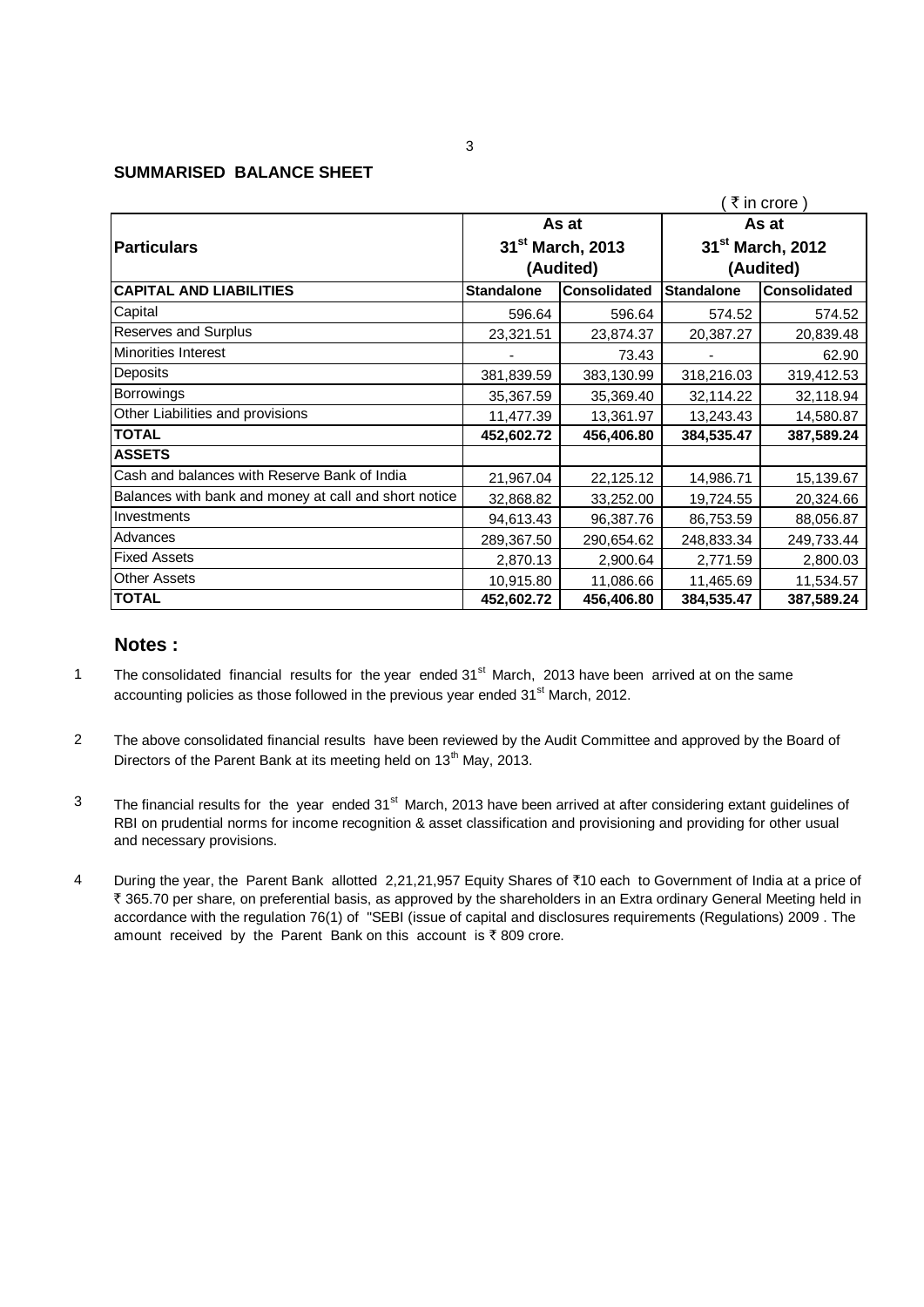### **SUMMARISED BALANCE SHEET**

|                                                       |                   |                              |                                          | ₹ in crore) |  |
|-------------------------------------------------------|-------------------|------------------------------|------------------------------------------|-------------|--|
|                                                       |                   | As at                        | As at<br>31 <sup>st</sup> March, 2012    |             |  |
| Particulars                                           |                   | 31 <sup>st</sup> March, 2013 |                                          |             |  |
|                                                       | (Audited)         |                              | (Audited)                                |             |  |
| <b>CAPITAL AND LIABILITIES</b>                        | <b>Standalone</b> | <b>Consolidated</b>          | <b>Standalone</b><br><b>Consolidated</b> |             |  |
| Capital                                               | 596.64            | 596.64                       | 574.52                                   | 574.52      |  |
| <b>Reserves and Surplus</b>                           | 23,321.51         | 23,874.37                    | 20,387.27                                | 20,839.48   |  |
| <b>Minorities Interest</b>                            |                   | 73.43                        |                                          | 62.90       |  |
| Deposits                                              | 381,839.59        | 383,130.99                   | 318,216.03                               | 319,412.53  |  |
| Borrowings                                            | 35,367.59         | 35,369.40                    | 32,114.22                                | 32,118.94   |  |
| Other Liabilities and provisions                      | 11,477.39         | 13,361.97                    | 13,243.43                                | 14,580.87   |  |
| <b>TOTAL</b>                                          | 452,602.72        | 456,406.80                   | 384,535.47                               | 387,589.24  |  |
| <b>ASSETS</b>                                         |                   |                              |                                          |             |  |
| Cash and balances with Reserve Bank of India          | 21,967.04         | 22,125.12                    | 14,986.71                                | 15,139.67   |  |
| Balances with bank and money at call and short notice | 32,868.82         | 33,252.00                    | 19,724.55                                | 20,324.66   |  |
| Investments                                           | 94,613.43         | 96,387.76                    | 86,753.59                                | 88,056.87   |  |
| Advances                                              | 289,367.50        | 290,654.62                   | 248,833.34                               | 249,733.44  |  |
| <b>Fixed Assets</b>                                   | 2,870.13          | 2,900.64                     | 2,771.59                                 | 2,800.03    |  |
| <b>Other Assets</b>                                   | 10,915.80         | 11,086.66                    | 11,465.69                                | 11,534.57   |  |
| <b>TOTAL</b>                                          | 452,602.72        | 456,406.80                   | 384,535.47                               | 387,589.24  |  |

# **Notes :**

- 1 The consolidated financial results for the year ended 31<sup>st</sup> March, 2013 have been arrived at on the same accounting policies as those followed in the previous year ended  $31<sup>st</sup>$  March, 2012.
- 2 The above consolidated financial results have been reviewed by the Audit Committee and approved by the Board of Directors of the Parent Bank at its meeting held on 13<sup>th</sup> May, 2013.
- 3 The financial results for the year ended 31<sup>st</sup> March, 2013 have been arrived at after considering extant guidelines of RBI on prudential norms for income recognition & asset classification and provisioning and providing for other usual and necessary provisions.
- 4 During the year, the Parent Bank allotted 2,21,21,957 Equity Shares of ₹10 each to Government of India at a price of ₹ 365.70 per share, on preferential basis, as approved by the shareholders in an Extra ordinary General Meeting held in accordance with the regulation 76(1) of "SEBI (issue of capital and disclosures requirements (Regulations) 2009 . The amount received by the Parent Bank on this account is  $\bar{z}$  809 crore.